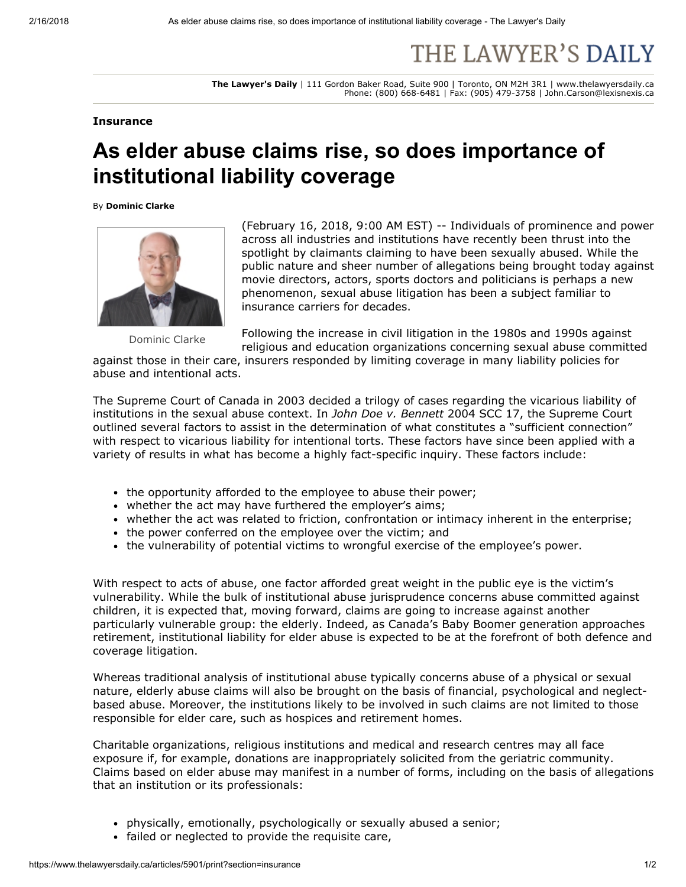## THE LAWYER'S DAILY

The Lawyer's Daily | 111 Gordon Baker Road, Suite 900 | Toronto, ON M2H 3R1 | www.thelawyersdaily.ca Phone: (800) 668-6481 | Fax: (905) 479-3758 | John.Carson@lexisnexis.ca

## **Insurance**

## As elder abuse claims rise, so does importance of institutional liability coverage

By Dominic Clarke



Dominic Clarke

(February 16, 2018, 9:00 AM EST) -- Individuals of prominence and power across all industries and institutions have recently been thrust into the spotlight by claimants claiming to have been sexually abused. While the public nature and sheer number of allegations being brought today against movie directors, actors, sports doctors and politicians is perhaps a new phenomenon, sexual abuse litigation has been a subject familiar to insurance carriers for decades.

Following the increase in civil litigation in the 1980s and 1990s against religious and education organizations concerning sexual abuse committed

against those in their care, insurers responded by limiting coverage in many liability policies for abuse and intentional acts.

The Supreme Court of Canada in 2003 decided a trilogy of cases regarding the vicarious liability of institutions in the sexual abuse context. In John Doe v. Bennett 2004 SCC 17, the Supreme Court outlined several factors to assist in the determination of what constitutes a "sufficient connection" with respect to vicarious liability for intentional torts. These factors have since been applied with a variety of results in what has become a highly fact-specific inquiry. These factors include:

- the opportunity afforded to the employee to abuse their power;
- whether the act may have furthered the employer's aims;
- whether the act was related to friction, confrontation or intimacy inherent in the enterprise;
- the power conferred on the employee over the victim; and
- the vulnerability of potential victims to wrongful exercise of the employee's power.

With respect to acts of abuse, one factor afforded great weight in the public eye is the victim's vulnerability. While the bulk of institutional abuse jurisprudence concerns abuse committed against children, it is expected that, moving forward, claims are going to increase against another particularly vulnerable group: the elderly. Indeed, as Canada's Baby Boomer generation approaches retirement, institutional liability for elder abuse is expected to be at the forefront of both defence and coverage litigation.

Whereas traditional analysis of institutional abuse typically concerns abuse of a physical or sexual nature, elderly abuse claims will also be brought on the basis of financial, psychological and neglectbased abuse. Moreover, the institutions likely to be involved in such claims are not limited to those responsible for elder care, such as hospices and retirement homes.

Charitable organizations, religious institutions and medical and research centres may all face exposure if, for example, donations are inappropriately solicited from the geriatric community. Claims based on elder abuse may manifest in a number of forms, including on the basis of allegations that an institution or its professionals:

- physically, emotionally, psychologically or sexually abused a senior;
- failed or neglected to provide the requisite care,